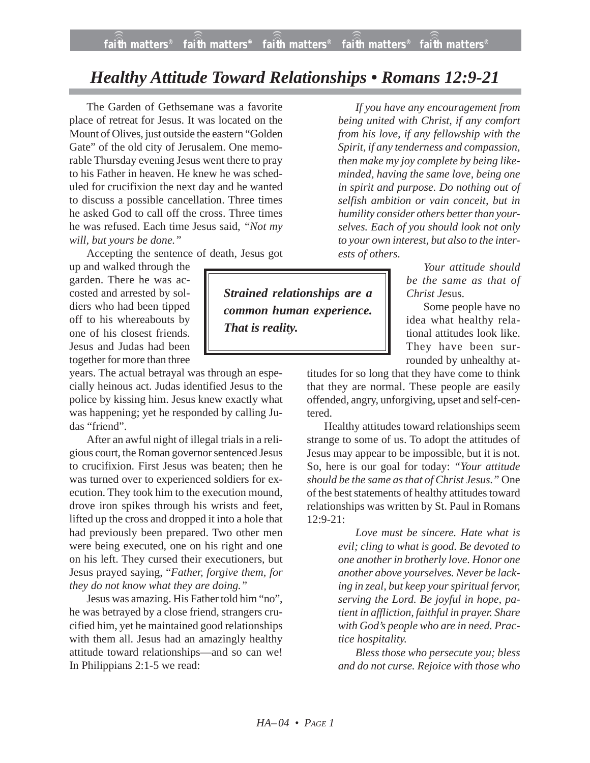## *Healthy Attitude Toward Relationships • Romans 12:9-21*

The Garden of Gethsemane was a favorite place of retreat for Jesus. It was located on the Mount of Olives, just outside the eastern "Golden Gate" of the old city of Jerusalem. One memorable Thursday evening Jesus went there to pray to his Father in heaven. He knew he was scheduled for crucifixion the next day and he wanted to discuss a possible cancellation. Three times he asked God to call off the cross. Three times he was refused. Each time Jesus said, *"Not my will, but yours be done."*

Accepting the sentence of death, Jesus got

up and walked through the garden. There he was accosted and arrested by soldiers who had been tipped off to his whereabouts by one of his closest friends. Jesus and Judas had been together for more than three

years. The actual betrayal was through an especially heinous act. Judas identified Jesus to the police by kissing him. Jesus knew exactly what was happening; yet he responded by calling Judas "friend".

After an awful night of illegal trials in a religious court, the Roman governor sentenced Jesus to crucifixion. First Jesus was beaten; then he was turned over to experienced soldiers for execution. They took him to the execution mound, drove iron spikes through his wrists and feet, lifted up the cross and dropped it into a hole that had previously been prepared. Two other men were being executed, one on his right and one on his left. They cursed their executioners, but Jesus prayed saying, "*Father, forgive them, for they do not know what they are doing."*

Jesus was amazing. His Father told him "no", he was betrayed by a close friend, strangers crucified him, yet he maintained good relationships with them all. Jesus had an amazingly healthy attitude toward relationships—and so can we! In Philippians 2:1-5 we read:

*If you have any encouragement from being united with Christ, if any comfort from his love, if any fellowship with the Spirit, if any tenderness and compassion, then make my joy complete by being likeminded, having the same love, being one in spirit and purpose. Do nothing out of selfish ambition or vain conceit, but in humility consider others better than yourselves. Each of you should look not only to your own interest, but also to the interests of others.*

*Your attitude should be the same as that of Christ Je*sus.

Some people have no idea what healthy relational attitudes look like. They have been surrounded by unhealthy at-

titudes for so long that they have come to think that they are normal. These people are easily offended, angry, unforgiving, upset and self-centered.

Healthy attitudes toward relationships seem strange to some of us. To adopt the attitudes of Jesus may appear to be impossible, but it is not. So, here is our goal for today: *"Your attitude should be the same as that of Christ Jesus."* One of the best statements of healthy attitudes toward relationships was written by St. Paul in Romans 12:9-21:

> *Love must be sincere. Hate what is evil; cling to what is good. Be devoted to one another in brotherly love. Honor one another above yourselves. Never be lacking in zeal, but keep your spiritual fervor, serving the Lord. Be joyful in hope, patient in affliction, faithful in prayer. Share with God's people who are in need. Practice hospitality.*

> *Bless those who persecute you; bless and do not curse. Rejoice with those who*

*Strained relationships are a common human experience. That is reality.*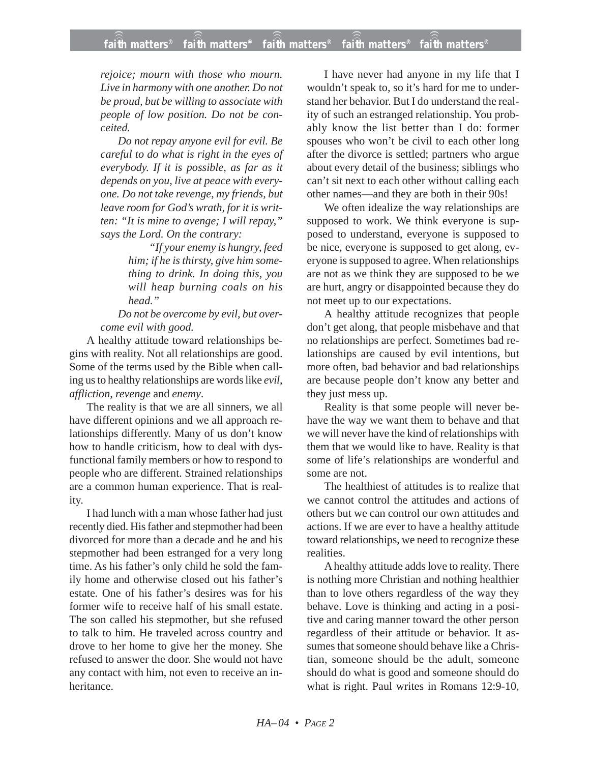*rejoice; mourn with those who mourn. Live in harmony with one another. Do not be proud, but be willing to associate with people of low position. Do not be conceited.*

*Do not repay anyone evil for evil. Be careful to do what is right in the eyes of everybody. If it is possible, as far as it depends on you, live at peace with everyone. Do not take revenge, my friends, but leave room for God's wrath, for it is written: "It is mine to avenge; I will repay," says the Lord. On the contrary:*

> *"If your enemy is hungry, feed him; if he is thirsty, give him something to drink. In doing this, you will heap burning coals on his head."*

*Do not be overcome by evil, but overcome evil with good.*

A healthy attitude toward relationships begins with reality. Not all relationships are good. Some of the terms used by the Bible when calling us to healthy relationships are words like *evil*, *affliction*, *revenge* and *enemy*.

The reality is that we are all sinners, we all have different opinions and we all approach relationships differently. Many of us don't know how to handle criticism, how to deal with dysfunctional family members or how to respond to people who are different. Strained relationships are a common human experience. That is reality.

I had lunch with a man whose father had just recently died. His father and stepmother had been divorced for more than a decade and he and his stepmother had been estranged for a very long time. As his father's only child he sold the family home and otherwise closed out his father's estate. One of his father's desires was for his former wife to receive half of his small estate. The son called his stepmother, but she refused to talk to him. He traveled across country and drove to her home to give her the money. She refused to answer the door. She would not have any contact with him, not even to receive an inheritance.

I have never had anyone in my life that I wouldn't speak to, so it's hard for me to understand her behavior. But I do understand the reality of such an estranged relationship. You probably know the list better than I do: former spouses who won't be civil to each other long after the divorce is settled; partners who argue about every detail of the business; siblings who can't sit next to each other without calling each other names—and they are both in their 90s!

We often idealize the way relationships are supposed to work. We think everyone is supposed to understand, everyone is supposed to be nice, everyone is supposed to get along, everyone is supposed to agree. When relationships are not as we think they are supposed to be we are hurt, angry or disappointed because they do not meet up to our expectations.

A healthy attitude recognizes that people don't get along, that people misbehave and that no relationships are perfect. Sometimes bad relationships are caused by evil intentions, but more often, bad behavior and bad relationships are because people don't know any better and they just mess up.

Reality is that some people will never behave the way we want them to behave and that we will never have the kind of relationships with them that we would like to have. Reality is that some of life's relationships are wonderful and some are not.

The healthiest of attitudes is to realize that we cannot control the attitudes and actions of others but we can control our own attitudes and actions. If we are ever to have a healthy attitude toward relationships, we need to recognize these realities.

A healthy attitude adds love to reality. There is nothing more Christian and nothing healthier than to love others regardless of the way they behave. Love is thinking and acting in a positive and caring manner toward the other person regardless of their attitude or behavior. It assumes that someone should behave like a Christian, someone should be the adult, someone should do what is good and someone should do what is right. Paul writes in Romans 12:9-10,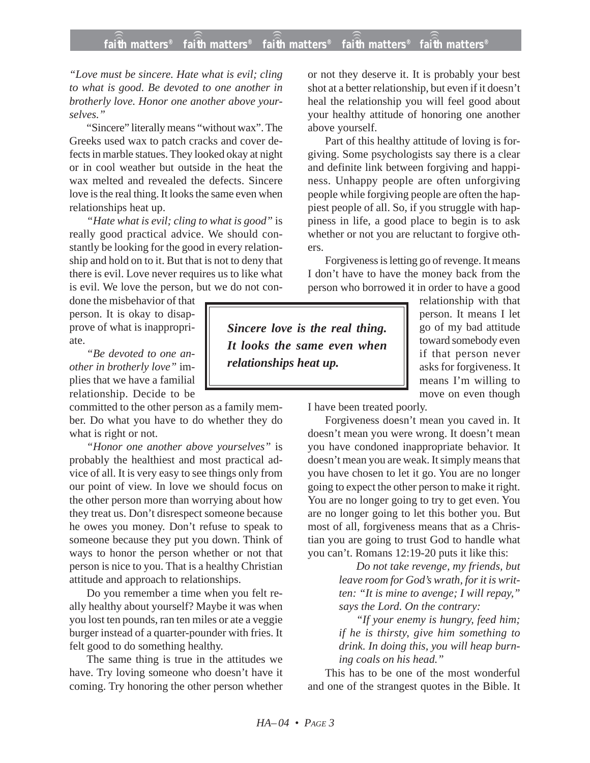## **faith matters® faith matters® faith matters® faith matters® faith matters®** ))) ))) ))) ))) )))

*"Love must be sincere. Hate what is evil; cling to what is good. Be devoted to one another in brotherly love. Honor one another above yourselves."*

"Sincere" literally means "without wax". The Greeks used wax to patch cracks and cover defects in marble statues. They looked okay at night or in cool weather but outside in the heat the wax melted and revealed the defects. Sincere love is the real thing. It looks the same even when relationships heat up.

*"Hate what is evil; cling to what is good"* is really good practical advice. We should constantly be looking for the good in every relationship and hold on to it. But that is not to deny that there is evil. Love never requires us to like what is evil. We love the person, but we do not con-

done the misbehavior of that person. It is okay to disapprove of what is inappropriate.

*"Be devoted to one another in brotherly love"* implies that we have a familial relationship. Decide to be

committed to the other person as a family member. Do what you have to do whether they do what is right or not.

*"Honor one another above yourselves"* is probably the healthiest and most practical advice of all. It is very easy to see things only from our point of view. In love we should focus on the other person more than worrying about how they treat us. Don't disrespect someone because he owes you money. Don't refuse to speak to someone because they put you down. Think of ways to honor the person whether or not that person is nice to you. That is a healthy Christian attitude and approach to relationships.

Do you remember a time when you felt really healthy about yourself? Maybe it was when you lost ten pounds, ran ten miles or ate a veggie burger instead of a quarter-pounder with fries. It felt good to do something healthy.

The same thing is true in the attitudes we have. Try loving someone who doesn't have it coming. Try honoring the other person whether

or not they deserve it. It is probably your best shot at a better relationship, but even if it doesn't heal the relationship you will feel good about your healthy attitude of honoring one another above yourself.

Part of this healthy attitude of loving is forgiving. Some psychologists say there is a clear and definite link between forgiving and happiness. Unhappy people are often unforgiving people while forgiving people are often the happiest people of all. So, if you struggle with happiness in life, a good place to begin is to ask whether or not you are reluctant to forgive others.

Forgiveness is letting go of revenge. It means I don't have to have the money back from the person who borrowed it in order to have a good

*Sincere love is the real thing. It looks the same even when relationships heat up.*

relationship with that person. It means I let go of my bad attitude toward somebody even if that person never asks for forgiveness. It means I'm willing to move on even though

I have been treated poorly.

Forgiveness doesn't mean you caved in. It doesn't mean you were wrong. It doesn't mean you have condoned inappropriate behavior. It doesn't mean you are weak. It simply means that you have chosen to let it go. You are no longer going to expect the other person to make it right. You are no longer going to try to get even. You are no longer going to let this bother you. But most of all, forgiveness means that as a Christian you are going to trust God to handle what you can't. Romans 12:19-20 puts it like this:

> *Do not take revenge, my friends, but leave room for God's wrath, for it is written: "It is mine to avenge; I will repay," says the Lord. On the contrary:*

> *"If your enemy is hungry, feed him; if he is thirsty, give him something to drink. In doing this, you will heap burning coals on his head."*

This has to be one of the most wonderful and one of the strangest quotes in the Bible. It